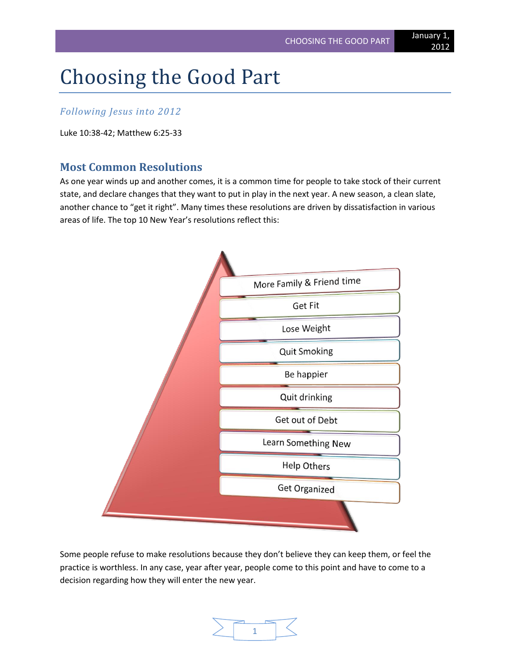# Choosing the Good Part

## *Following Jesus into 2012*

Luke 10:38-42; Matthew 6:25-33

## **Most Common Resolutions**

As one year winds up and another comes, it is a common time for people to take stock of their current state, and declare changes that they want to put in play in the next year. A new season, a clean slate, another chance to "get it right". Many times these resolutions are driven by dissatisfaction in various areas of life. The top 10 New Year's resolutions reflect this:



Some people refuse to make resolutions because they don't believe they can keep them, or feel the practice is worthless. In any case, year after year, people come to this point and have to come to a decision regarding how they will enter the new year.

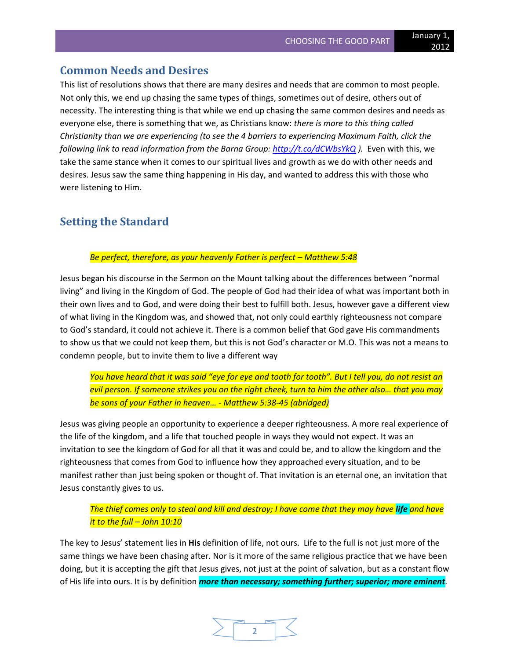#### **Common Needs and Desires**

This list of resolutions shows that there are many desires and needs that are common to most people. Not only this, we end up chasing the same types of things, sometimes out of desire, others out of necessity. The interesting thing is that while we end up chasing the same common desires and needs as everyone else, there is something that we, as Christians know: *there is more to this thing called Christianity than we are experiencing (to see the 4 barriers to experiencing Maximum Faith, click the following link to read information from the Barna Group:<http://t.co/dCWbsYkQ> ).* Even with this, we take the same stance when it comes to our spiritual lives and growth as we do with other needs and desires. Jesus saw the same thing happening in His day, and wanted to address this with those who were listening to Him.

## **Setting the Standard**

#### *Be perfect, therefore, as your heavenly Father is perfect – Matthew 5:48*

Jesus began his discourse in the Sermon on the Mount talking about the differences between "normal living" and living in the Kingdom of God. The people of God had their idea of what was important both in their own lives and to God, and were doing their best to fulfill both. Jesus, however gave a different view of what living in the Kingdom was, and showed that, not only could earthly righteousness not compare to God's standard, it could not achieve it. There is a common belief that God gave His commandments to show us that we could not keep them, but this is not God's character or M.O. This was not a means to condemn people, but to invite them to live a different way

*You have heard that it was said "eye for eye and tooth for tooth". But I tell you, do not resist an evil person. If someone strikes you on the right cheek, turn to him the other also… that you may be sons of your Father in heaven… - Matthew 5:38-45 (abridged)*

Jesus was giving people an opportunity to experience a deeper righteousness. A more real experience of the life of the kingdom, and a life that touched people in ways they would not expect. It was an invitation to see the kingdom of God for all that it was and could be, and to allow the kingdom and the righteousness that comes from God to influence how they approached every situation, and to be manifest rather than just being spoken or thought of. That invitation is an eternal one, an invitation that Jesus constantly gives to us.

#### *The thief comes only to steal and kill and destroy; I have come that they may have life and have it to the full – John 10:10*

The key to Jesus' statement lies in **His** definition of life, not ours. Life to the full is not just more of the same things we have been chasing after. Nor is it more of the same religious practice that we have been doing, but it is accepting the gift that Jesus gives, not just at the point of salvation, but as a constant flow of His life into ours. It is by definition *more than necessary; something further; superior; more eminent.*

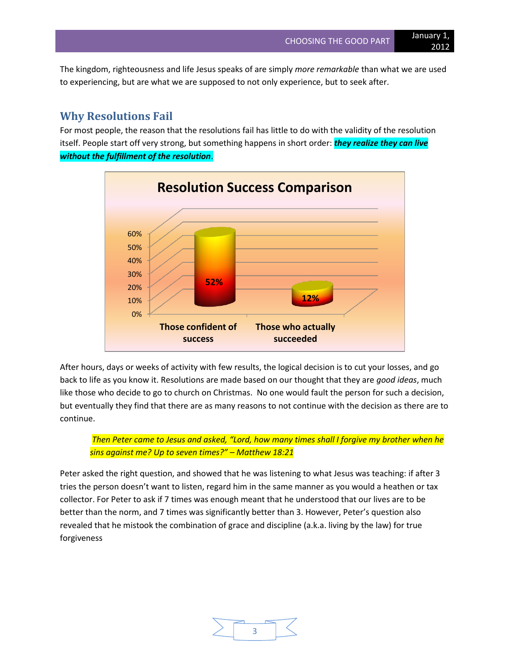The kingdom, righteousness and life Jesus speaks of are simply *more remarkable* than what we are used to experiencing, but are what we are supposed to not only experience, but to seek after.

## **Why Resolutions Fail**

For most people, the reason that the resolutions fail has little to do with the validity of the resolution itself. People start off very strong, but something happens in short order: *they realize they can live without the fulfillment of the resolution*.



After hours, days or weeks of activity with few results, the logical decision is to cut your losses, and go back to life as you know it. Resolutions are made based on our thought that they are *good ideas*, much like those who decide to go to church on Christmas. No one would fault the person for such a decision, but eventually they find that there are as many reasons to not continue with the decision as there are to continue.

*Then Peter came to Jesus and asked, "Lord, how many times shall I forgive my brother when he sins against me? Up to seven times?" – Matthew 18:21*

Peter asked the right question, and showed that he was listening to what Jesus was teaching: if after 3 tries the person doesn't want to listen, regard him in the same manner as you would a heathen or tax collector. For Peter to ask if 7 times was enough meant that he understood that our lives are to be better than the norm, and 7 times was significantly better than 3. However, Peter's question also revealed that he mistook the combination of grace and discipline (a.k.a. living by the law) for true forgiveness

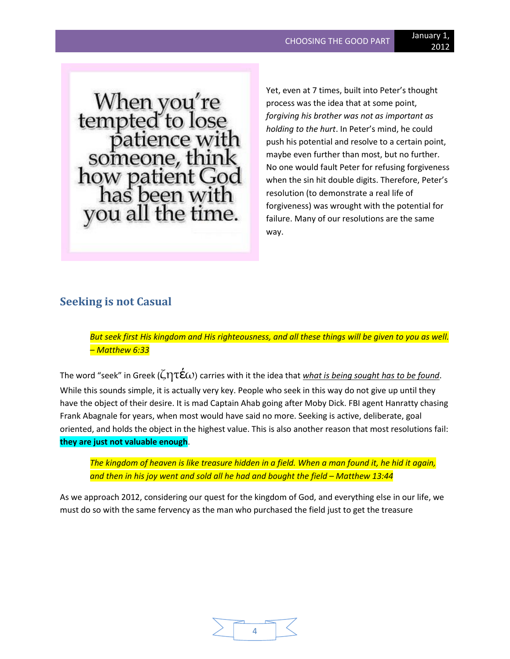When you're<br>tempted to lose<br>patience with<br>someone, think<br>how patient God<br>has been with you all the time.

Yet, even at 7 times, built into Peter's thought process was the idea that at some point, *forgiving his brother was not as important as holding to the hurt*. In Peter's mind, he could push his potential and resolve to a certain point, maybe even further than most, but no further. No one would fault Peter for refusing forgiveness when the sin hit double digits. Therefore, Peter's resolution (to demonstrate a real life of forgiveness) was wrought with the potential for failure. Many of our resolutions are the same way.

## **Seeking is not Casual**

*But seek first His kingdom and His righteousness, and all these things will be given to you as well. – Matthew 6:33*

The word "seek" in Greek ( $\zeta \eta \tau \varepsilon \omega$ ) carries with it the idea that *what is being sought has to be found*. While this sounds simple, it is actually very key. People who seek in this way do not give up until they have the object of their desire. It is mad Captain Ahab going after Moby Dick. FBI agent Hanratty chasing Frank Abagnale for years, when most would have said no more. Seeking is active, deliberate, goal oriented, and holds the object in the highest value. This is also another reason that most resolutions fail: **they are just not valuable enough**.

*The kingdom of heaven is like treasure hidden in a field. When a man found it, he hid it again, and then in his joy went and sold all he had and bought the field – Matthew 13:44*

As we approach 2012, considering our quest for the kingdom of God, and everything else in our life, we must do so with the same fervency as the man who purchased the field just to get the treasure

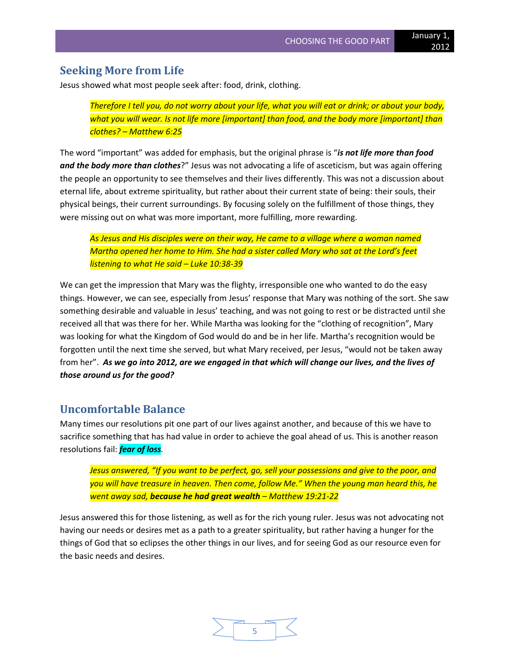### **Seeking More from Life**

Jesus showed what most people seek after: food, drink, clothing.

*Therefore I tell you, do not worry about your life, what you will eat or drink; or about your body, what you will wear. Is not life more [important] than food, and the body more [important] than clothes? – Matthew 6:25*

The word "important" was added for emphasis, but the original phrase is "*is not life more than food and the body more than clothes*?" Jesus was not advocating a life of asceticism, but was again offering the people an opportunity to see themselves and their lives differently. This was not a discussion about eternal life, about extreme spirituality, but rather about their current state of being: their souls, their physical beings, their current surroundings. By focusing solely on the fulfillment of those things, they were missing out on what was more important, more fulfilling, more rewarding.

*As Jesus and His disciples were on their way, He came to a village where a woman named Martha opened her home to Him. She had a sister called Mary who sat at the Lord's feet listening to what He said – Luke 10:38-39*

We can get the impression that Mary was the flighty, irresponsible one who wanted to do the easy things. However, we can see, especially from Jesus' response that Mary was nothing of the sort. She saw something desirable and valuable in Jesus' teaching, and was not going to rest or be distracted until she received all that was there for her. While Martha was looking for the "clothing of recognition", Mary was looking for what the Kingdom of God would do and be in her life. Martha's recognition would be forgotten until the next time she served, but what Mary received, per Jesus, "would not be taken away from her". *As we go into 2012, are we engaged in that which will change our lives, and the lives of those around us for the good?*

#### **Uncomfortable Balance**

Many times our resolutions pit one part of our lives against another, and because of this we have to sacrifice something that has had value in order to achieve the goal ahead of us. This is another reason resolutions fail: *fear of loss.*

*Jesus answered, "If you want to be perfect, go, sell your possessions and give to the poor, and you will have treasure in heaven. Then come, follow Me." When the young man heard this, he went away sad, because he had great wealth – Matthew 19:21-22*

Jesus answered this for those listening, as well as for the rich young ruler. Jesus was not advocating not having our needs or desires met as a path to a greater spirituality, but rather having a hunger for the things of God that so eclipses the other things in our lives, and for seeing God as our resource even for the basic needs and desires.